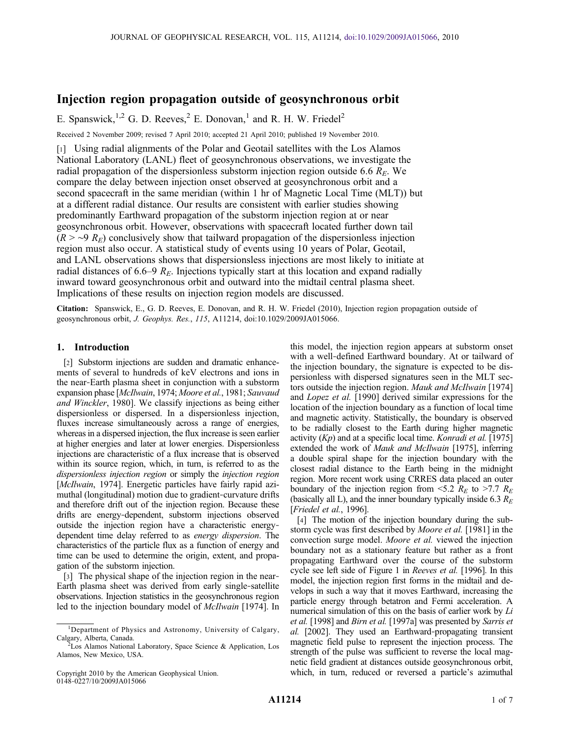# Injection region propagation outside of geosynchronous orbit

E. Spanswick,<sup>1,2</sup> G. D. Reeves,<sup>2</sup> E. Donovan,<sup>1</sup> and R. H. W. Friedel<sup>2</sup>

Received 2 November 2009; revised 7 April 2010; accepted 21 April 2010; published 19 November 2010.

[1] Using radial alignments of the Polar and Geotail satellites with the Los Alamos National Laboratory (LANL) fleet of geosynchronous observations, we investigate the radial propagation of the dispersionless substorm injection region outside 6.6  $R_E$ . We compare the delay between injection onset observed at geosynchronous orbit and a second spacecraft in the same meridian (within 1 hr of Magnetic Local Time (MLT)) but at a different radial distance. Our results are consistent with earlier studies showing predominantly Earthward propagation of the substorm injection region at or near geosynchronous orbit. However, observations with spacecraft located further down tail  $(R > \sim 9 R_E)$  conclusively show that tailward propagation of the dispersionless injection region must also occur. A statistical study of events using 10 years of Polar, Geotail, and LANL observations shows that dispersionsless injections are most likely to initiate at radial distances of 6.6–9  $R_E$ . Injections typically start at this location and expand radially inward toward geosynchronous orbit and outward into the midtail central plasma sheet. Implications of these results on injection region models are discussed.

Citation: Spanswick, E., G. D. Reeves, E. Donovan, and R. H. W. Friedel (2010), Injection region propagation outside of geosynchronous orbit, J. Geophys. Res., 115, A11214, doi:10.1029/2009JA015066.

## 1. Introduction

[2] Substorm injections are sudden and dramatic enhancements of several to hundreds of keV electrons and ions in the near‐Earth plasma sheet in conjunction with a substorm expansion phase [McIlwain, 1974; Moore et al., 1981; Sauvaud and Winckler, 1980]. We classify injections as being either dispersionless or dispersed. In a dispersionless injection, fluxes increase simultaneously across a range of energies, whereas in a dispersed injection, the flux increase is seen earlier at higher energies and later at lower energies. Dispersionless injections are characteristic of a flux increase that is observed within its source region, which, in turn, is referred to as the dispersionless injection region or simply the injection region [McIlwain, 1974]. Energetic particles have fairly rapid azimuthal (longitudinal) motion due to gradient‐curvature drifts and therefore drift out of the injection region. Because these drifts are energy‐dependent, substorm injections observed outside the injection region have a characteristic energy‐ dependent time delay referred to as energy dispersion. The characteristics of the particle flux as a function of energy and time can be used to determine the origin, extent, and propagation of the substorm injection.

[3] The physical shape of the injection region in the near-Earth plasma sheet was derived from early single‐satellite observations. Injection statistics in the geosynchronous region led to the injection boundary model of McIlwain [1974]. In

Copyright 2010 by the American Geophysical Union. 0148‐0227/10/2009JA015066

this model, the injection region appears at substorm onset with a well‐defined Earthward boundary. At or tailward of the injection boundary, the signature is expected to be dispersionless with dispersed signatures seen in the MLT sectors outside the injection region. Mauk and McIlwain [1974] and Lopez et al. [1990] derived similar expressions for the location of the injection boundary as a function of local time and magnetic activity. Statistically, the boundary is observed to be radially closest to the Earth during higher magnetic activity  $(Kp)$  and at a specific local time. *Konradi et al.* [1975] extended the work of *Mauk and McIlwain* [1975], inferring a double spiral shape for the injection boundary with the closest radial distance to the Earth being in the midnight region. More recent work using CRRES data placed an outer boundary of the injection region from <5.2  $R_E$  to >7.7  $R_E$ (basically all L), and the inner boundary typically inside 6.3  $R_E$ [Friedel et al., 1996].

[4] The motion of the injection boundary during the substorm cycle was first described by *Moore et al.* [1981] in the convection surge model. Moore et al. viewed the injection boundary not as a stationary feature but rather as a front propagating Earthward over the course of the substorm cycle see left side of Figure 1 in *Reeves et al.* [1996]. In this model, the injection region first forms in the midtail and develops in such a way that it moves Earthward, increasing the particle energy through betatron and Fermi acceleration. A numerical simulation of this on the basis of earlier work by Li et al. [1998] and Birn et al. [1997a] was presented by Sarris et al. [2002]. They used an Earthward‐propagating transient magnetic field pulse to represent the injection process. The strength of the pulse was sufficient to reverse the local magnetic field gradient at distances outside geosynchronous orbit, which, in turn, reduced or reversed a particle's azimuthal

<sup>&</sup>lt;sup>1</sup>Department of Physics and Astronomy, University of Calgary, Calgary, Alberta, Canada. <sup>2</sup>

<sup>&</sup>lt;sup>2</sup> Los Alamos National Laboratory, Space Science & Application, Los Alamos, New Mexico, USA.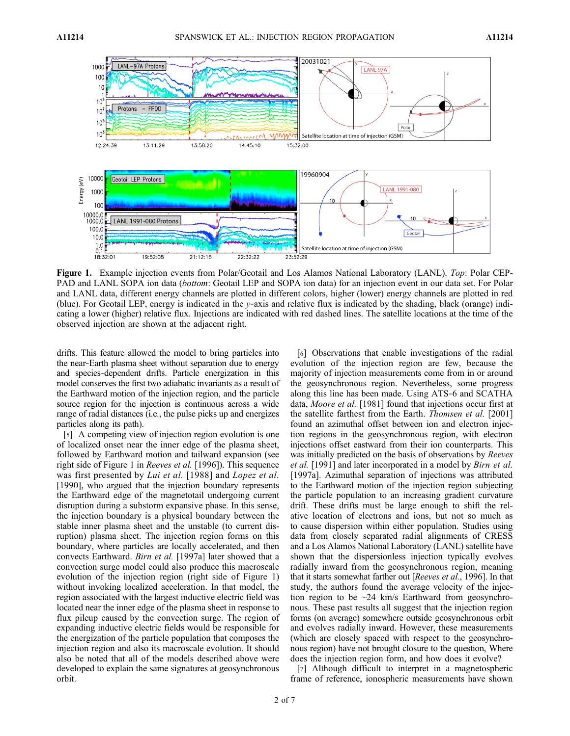

Figure 1. Example injection events from Polar/Geotail and Los Alamos National Laboratory (LANL). Top: Polar CEP-PAD and LANL SOPA ion data (bottom: Geotail LEP and SOPA ion data) for an injection event in our data set. For Polar and LANL data, different energy channels are plotted in different colors, higher (lower) energy channels are plotted in red (blue). For Geotail LEP, energy is indicated in the y-axis and relative flux is indicated by the shading, black (orange) indicating a lower (higher) relative flux. Injections are indicated with red dashed lines. The satellite locations at the time of the observed injection are shown at the adjacent right.

drifts. This feature allowed the model to bring particles into the near‐Earth plasma sheet without separation due to energy and species‐dependent drifts. Particle energization in this model conserves the first two adiabatic invariants as a result of the Earthward motion of the injection region, and the particle source region for the injection is continuous across a wide range of radial distances (i.e., the pulse picks up and energizes particles along its path).

[5] A competing view of injection region evolution is one of localized onset near the inner edge of the plasma sheet, followed by Earthward motion and tailward expansion (see right side of Figure 1 in *Reeves et al.* [1996]). This sequence was first presented by *Lui et al.* [1988] and *Lopez et al.* [1990], who argued that the injection boundary represents the Earthward edge of the magnetotail undergoing current disruption during a substorm expansive phase. In this sense, the injection boundary is a physical boundary between the stable inner plasma sheet and the unstable (to current disruption) plasma sheet. The injection region forms on this boundary, where particles are locally accelerated, and then convects Earthward. Birn et al. [1997a] later showed that a convection surge model could also produce this macroscale evolution of the injection region (right side of Figure 1) without invoking localized acceleration. In that model, the region associated with the largest inductive electric field was located near the inner edge of the plasma sheet in response to flux pileup caused by the convection surge. The region of expanding inductive electric fields would be responsible for the energization of the particle population that composes the injection region and also its macroscale evolution. It should also be noted that all of the models described above were developed to explain the same signatures at geosynchronous orbit.

[6] Observations that enable investigations of the radial evolution of the injection region are few, because the majority of injection measurements come from in or around the geosynchronous region. Nevertheless, some progress along this line has been made. Using ATS‐6 and SCATHA data, Moore et al. [1981] found that injections occur first at the satellite farthest from the Earth. Thomsen et al. [2001] found an azimuthal offset between ion and electron injection regions in the geosynchronous region, with electron injections offset eastward from their ion counterparts. This was initially predicted on the basis of observations by Reeves et al. [1991] and later incorporated in a model by Birn et al. [1997a]. Azimuthal separation of injections was attributed to the Earthward motion of the injection region subjecting the particle population to an increasing gradient curvature drift. These drifts must be large enough to shift the relative location of electrons and ions, but not so much as to cause dispersion within either population. Studies using data from closely separated radial alignments of CRESS and a Los Alamos National Laboratory (LANL) satellite have shown that the dispersionless injection typically evolves radially inward from the geosynchronous region, meaning that it starts somewhat farther out [Reeves et al., 1996]. In that study, the authors found the average velocity of the injection region to be ∼24 km/s Earthward from geosynchronous. These past results all suggest that the injection region forms (on average) somewhere outside geosynchronous orbit and evolves radially inward. However, these measurements (which are closely spaced with respect to the geosynchronous region) have not brought closure to the question, Where does the injection region form, and how does it evolve?

[7] Although difficult to interpret in a magnetospheric frame of reference, ionospheric measurements have shown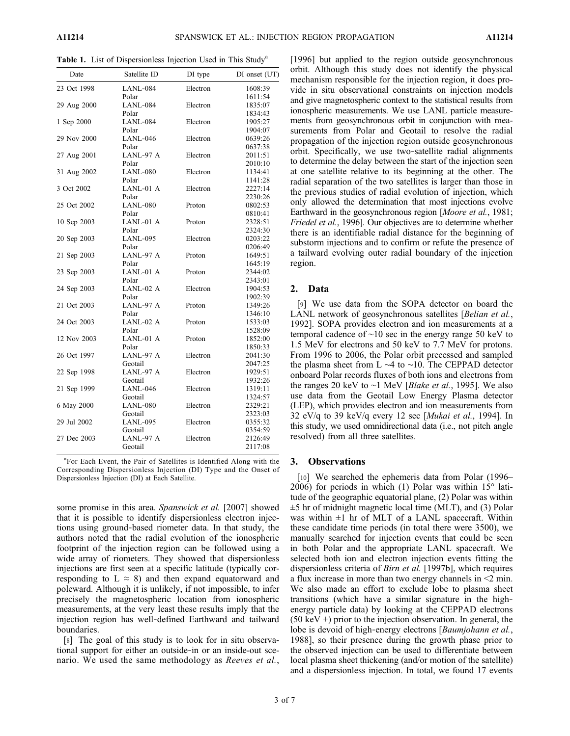Table 1. List of Dispersionless Injection Used in This Study<sup>a</sup>

| Date        | Satellite ID                    | DI type  | DI onset (UT)                 |
|-------------|---------------------------------|----------|-------------------------------|
| 23 Oct 1998 | LANL-084<br>Polar               | Electron | 1608:39<br>1611:54            |
| 29 Aug 2000 | LANL-084<br>Polar               | Electron | 1835:07<br>1834:43            |
| 1 Sep 2000  | LANL-084<br>Polar               | Electron | 1905:27<br>1904:07            |
| 29 Nov 2000 | LANL-046<br>Polar               | Electron | 0639:26<br>0637:38            |
| 27 Aug 2001 | LANL-97 A<br>Polar              | Electron | 2011:51<br>2010:10            |
| 31 Aug 2002 | LANL-080<br>Polar               | Electron | 1134:41<br>1141:28            |
| 3 Oct 2002  | LANL-01 A<br>Polar              | Electron | 2227:14<br>2230:26            |
| 25 Oct 2002 | LANL-080<br>Polar               | Proton   | 0802:53<br>0810:41            |
| 10 Sep 2003 | LANL-01 A<br>Polar              | Proton   | 2328:51<br>2324:30            |
| 20 Sep 2003 | <b>LANL-095</b><br>Polar        | Electron | 0203:22<br>0206:49            |
| 21 Sep 2003 | LANL-97 A<br>Polar              | Proton   | 1649:51<br>1645:19            |
| 23 Sep 2003 | LANL-01 A<br>Polar              | Proton   | 2344:02<br>2343:01            |
| 24 Sep 2003 | LANL-02 A<br>Polar              | Electron | 1904:53<br>1902:39            |
| 21 Oct 2003 | LANL-97 A<br>Polar              | Proton   | 1349:26<br>1346:10            |
| 24 Oct 2003 | LANL-02 A<br>Polar              | Proton   | 1533:03<br>1528:09            |
| 12 Nov 2003 | LANL-01 A<br>Polar              | Proton   | 1852:00<br>1850:33            |
| 26 Oct 1997 | LANL-97 A<br>Geotail            | Electron | 2041:30<br>2047:25            |
| 22 Sep 1998 | LANL-97 A<br>Geotail            | Electron | 1929:51<br>1932:26            |
| 21 Sep 1999 | LANL-046<br>Geotail             | Electron | 1319:11<br>1324:57            |
| 6 May 2000  | LANL-080<br>Geotail             | Electron | 2329:21<br>2323:03            |
| 29 Jul 2002 | <b>LANL-095</b>                 | Electron | 0355:32                       |
| 27 Dec 2003 | Geotail<br>LANL-97 A<br>Geotail | Electron | 0354:59<br>2126:49<br>2117:08 |

<sup>a</sup>For Each Event, the Pair of Satellites is Identified Along with the Corresponding Dispersionless Injection (DI) Type and the Onset of Dispersionless Injection (DI) at Each Satellite.

some promise in this area. Spanswick et al. [2007] showed that it is possible to identify dispersionless electron injections using ground‐based riometer data. In that study, the authors noted that the radial evolution of the ionospheric footprint of the injection region can be followed using a wide array of riometers. They showed that dispersionless injections are first seen at a specific latitude (typically corresponding to  $L \approx 8$ ) and then expand equatorward and poleward. Although it is unlikely, if not impossible, to infer precisely the magnetospheric location from ionospheric measurements, at the very least these results imply that the injection region has well‐defined Earthward and tailward boundaries.

[8] The goal of this study is to look for in situ observational support for either an outside‐in or an inside-out scenario. We used the same methodology as *Reeves et al.*, [1996] but applied to the region outside geosynchronous orbit. Although this study does not identify the physical mechanism responsible for the injection region, it does provide in situ observational constraints on injection models and give magnetospheric context to the statistical results from ionospheric measurements. We use LANL particle measurements from geosynchronous orbit in conjunction with measurements from Polar and Geotail to resolve the radial propagation of the injection region outside geosynchronous orbit. Specifically, we use two‐satellite radial alignments to determine the delay between the start of the injection seen at one satellite relative to its beginning at the other. The radial separation of the two satellites is larger than those in the previous studies of radial evolution of injection, which only allowed the determination that most injections evolve Earthward in the geosynchronous region [*Moore et al.*, 1981; Friedel et al., 1996]. Our objectives are to determine whether there is an identifiable radial distance for the beginning of substorm injections and to confirm or refute the presence of a tailward evolving outer radial boundary of the injection region.

### 2. Data

[9] We use data from the SOPA detector on board the LANL network of geosynchronous satellites [Belian et al., 1992]. SOPA provides electron and ion measurements at a temporal cadence of ∼10 sec in the energy range 50 keV to 1.5 MeV for electrons and 50 keV to 7.7 MeV for protons. From 1996 to 2006, the Polar orbit precessed and sampled the plasma sheet from L ∼4 to ∼10. The CEPPAD detector onboard Polar records fluxes of both ions and electrons from the ranges 20 keV to ∼1 MeV [Blake et al., 1995]. We also use data from the Geotail Low Energy Plasma detector (LEP), which provides electron and ion measurements from 32 eV/q to 39 keV/q every 12 sec [*Mukai et al.*, 1994]. In this study, we used omnidirectional data (i.e., not pitch angle resolved) from all three satellites.

### 3. Observations

[10] We searched the ephemeris data from Polar (1996– 2006) for periods in which (1) Polar was within 15° latitude of the geographic equatorial plane, (2) Polar was within  $\pm$ 5 hr of midnight magnetic local time (MLT), and (3) Polar was within  $\pm 1$  hr of MLT of a LANL spacecraft. Within these candidate time periods (in total there were 3500), we manually searched for injection events that could be seen in both Polar and the appropriate LANL spacecraft. We selected both ion and electron injection events fitting the dispersionless criteria of *Birn et al.* [1997b], which requires a flux increase in more than two energy channels in <2 min. We also made an effort to exclude lobe to plasma sheet transitions (which have a similar signature in the high‐ energy particle data) by looking at the CEPPAD electrons  $(50 \text{ keV} +)$  prior to the injection observation. In general, the lobe is devoid of high-energy electrons [*Baumjohann et al.*, 1988], so their presence during the growth phase prior to the observed injection can be used to differentiate between local plasma sheet thickening (and/or motion of the satellite) and a dispersionless injection. In total, we found 17 events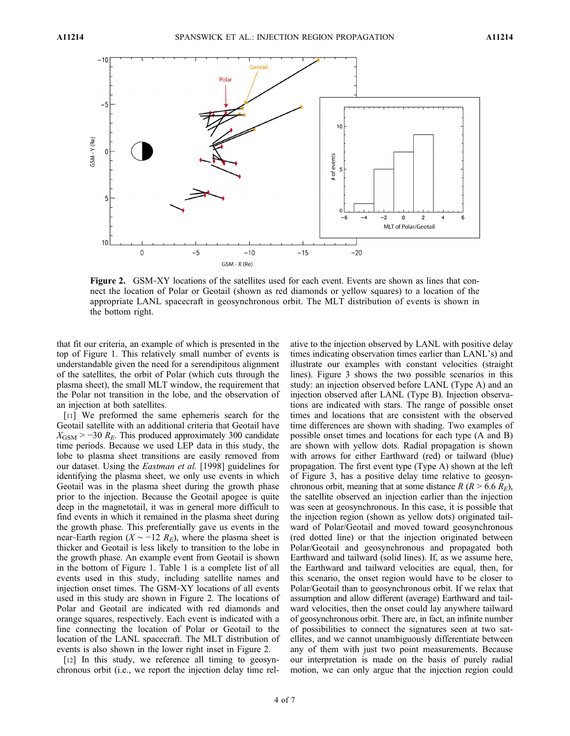

Figure 2. GSM-XY locations of the satellites used for each event. Events are shown as lines that connect the location of Polar or Geotail (shown as red diamonds or yellow squares) to a location of the appropriate LANL spacecraft in geosynchronous orbit. The MLT distribution of events is shown in the bottom right.

that fit our criteria, an example of which is presented in the top of Figure 1. This relatively small number of events is understandable given the need for a serendipitous alignment of the satellites, the orbit of Polar (which cuts through the plasma sheet), the small MLT window, the requirement that the Polar not transition in the lobe, and the observation of an injection at both satellites.

[11] We preformed the same ephemeris search for the Geotail satellite with an additional criteria that Geotail have  $X_{\text{GSM}}$  > −30  $R_E$ . This produced approximately 300 candidate time periods. Because we used LEP data in this study, the lobe to plasma sheet transitions are easily removed from our dataset. Using the Eastman et al. [1998] guidelines for identifying the plasma sheet, we only use events in which Geotail was in the plasma sheet during the growth phase prior to the injection. Because the Geotail apogee is quite deep in the magnetotail, it was in general more difficult to find events in which it remained in the plasma sheet during the growth phase. This preferentially gave us events in the near–Earth region ( $X \sim -12 R_E$ ), where the plasma sheet is thicker and Geotail is less likely to transition to the lobe in the growth phase. An example event from Geotail is shown in the bottom of Figure 1. Table 1 is a complete list of all events used in this study, including satellite names and injection onset times. The GSM‐XY locations of all events used in this study are shown in Figure 2. The locations of Polar and Geotail are indicated with red diamonds and orange squares, respectively. Each event is indicated with a line connecting the location of Polar or Geotail to the location of the LANL spacecraft. The MLT distribution of events is also shown in the lower right inset in Figure 2.

[12] In this study, we reference all timing to geosynchronous orbit (i.e., we report the injection delay time relative to the injection observed by LANL with positive delay times indicating observation times earlier than LANL's) and illustrate our examples with constant velocities (straight lines). Figure 3 shows the two possible scenarios in this study: an injection observed before LANL (Type A) and an injection observed after LANL (Type B). Injection observations are indicated with stars. The range of possible onset times and locations that are consistent with the observed time differences are shown with shading. Two examples of possible onset times and locations for each type (A and B) are shown with yellow dots. Radial propagation is shown with arrows for either Earthward (red) or tailward (blue) propagation. The first event type (Type A) shown at the left of Figure 3, has a positive delay time relative to geosynchronous orbit, meaning that at some distance  $R (R > 6.6 R_E)$ , the satellite observed an injection earlier than the injection was seen at geosynchronous. In this case, it is possible that the injection region (shown as yellow dots) originated tailward of Polar/Geotail and moved toward geosynchronous (red dotted line) or that the injection originated between Polar/Geotail and geosynchronous and propagated both Earthward and tailward (solid lines). If, as we assume here, the Earthward and tailward velocities are equal, then, for this scenario, the onset region would have to be closer to Polar/Geotail than to geosynchronous orbit. If we relax that assumption and allow different (average) Earthward and tailward velocities, then the onset could lay anywhere tailward of geosynchronous orbit. There are, in fact, an infinite number of possibilities to connect the signatures seen at two satellites, and we cannot unambiguously differentiate between any of them with just two point measurements. Because our interpretation is made on the basis of purely radial motion, we can only argue that the injection region could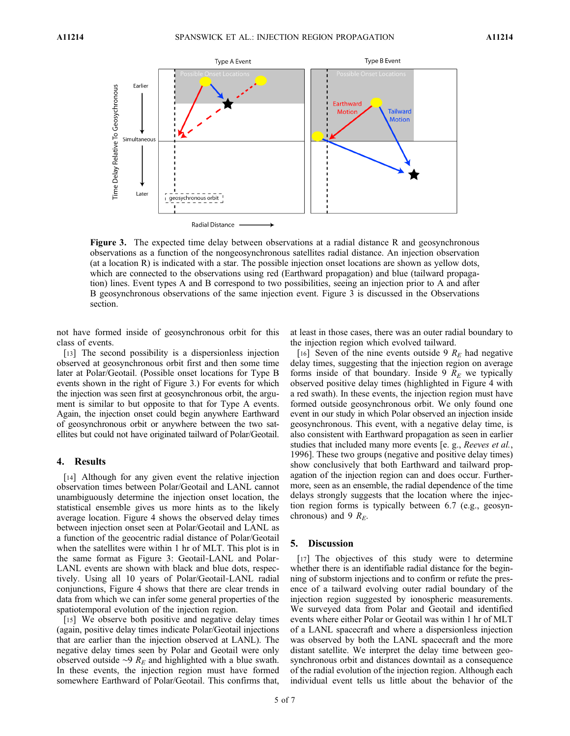

Figure 3. The expected time delay between observations at a radial distance R and geosynchronous observations as a function of the nongeosynchronous satellites radial distance. An injection observation (at a location R) is indicated with a star. The possible injection onset locations are shown as yellow dots, which are connected to the observations using red (Earthward propagation) and blue (tailward propagation) lines. Event types A and B correspond to two possibilities, seeing an injection prior to A and after B geosynchronous observations of the same injection event. Figure 3 is discussed in the Observations section.

not have formed inside of geosynchronous orbit for this class of events.

[13] The second possibility is a dispersionless injection observed at geosynchronous orbit first and then some time later at Polar/Geotail. (Possible onset locations for Type B events shown in the right of Figure 3.) For events for which the injection was seen first at geosynchronous orbit, the argument is similar to but opposite to that for Type A events. Again, the injection onset could begin anywhere Earthward of geosynchronous orbit or anywhere between the two satellites but could not have originated tailward of Polar/Geotail.

### 4. Results

[14] Although for any given event the relative injection observation times between Polar/Geotail and LANL cannot unambiguously determine the injection onset location, the statistical ensemble gives us more hints as to the likely average location. Figure 4 shows the observed delay times between injection onset seen at Polar/Geotail and LANL as a function of the geocentric radial distance of Polar/Geotail when the satellites were within 1 hr of MLT. This plot is in the same format as Figure 3: Geotail‐LANL and Polar‐ LANL events are shown with black and blue dots, respectively. Using all 10 years of Polar/Geotail‐LANL radial conjunctions, Figure 4 shows that there are clear trends in data from which we can infer some general properties of the spatiotemporal evolution of the injection region.

[15] We observe both positive and negative delay times (again, positive delay times indicate Polar/Geotail injections that are earlier than the injection observed at LANL). The negative delay times seen by Polar and Geotail were only observed outside ∼9  $R_E$  and highlighted with a blue swath. In these events, the injection region must have formed somewhere Earthward of Polar/Geotail. This confirms that,

at least in those cases, there was an outer radial boundary to the injection region which evolved tailward.

[16] Seven of the nine events outside 9  $R_E$  had negative delay times, suggesting that the injection region on average forms inside of that boundary. Inside 9  $R_E$  we typically observed positive delay times (highlighted in Figure 4 with a red swath). In these events, the injection region must have formed outside geosynchronous orbit. We only found one event in our study in which Polar observed an injection inside geosynchronous. This event, with a negative delay time, is also consistent with Earthward propagation as seen in earlier studies that included many more events [e. g., Reeves et al., 1996]. These two groups (negative and positive delay times) show conclusively that both Earthward and tailward propagation of the injection region can and does occur. Furthermore, seen as an ensemble, the radial dependence of the time delays strongly suggests that the location where the injection region forms is typically between 6.7 (e.g., geosynchronous) and 9  $R_E$ .

#### 5. Discussion

[17] The objectives of this study were to determine whether there is an identifiable radial distance for the beginning of substorm injections and to confirm or refute the presence of a tailward evolving outer radial boundary of the injection region suggested by ionospheric measurements. We surveyed data from Polar and Geotail and identified events where either Polar or Geotail was within 1 hr of MLT of a LANL spacecraft and where a dispersionless injection was observed by both the LANL spacecraft and the more distant satellite. We interpret the delay time between geosynchronous orbit and distances downtail as a consequence of the radial evolution of the injection region. Although each individual event tells us little about the behavior of the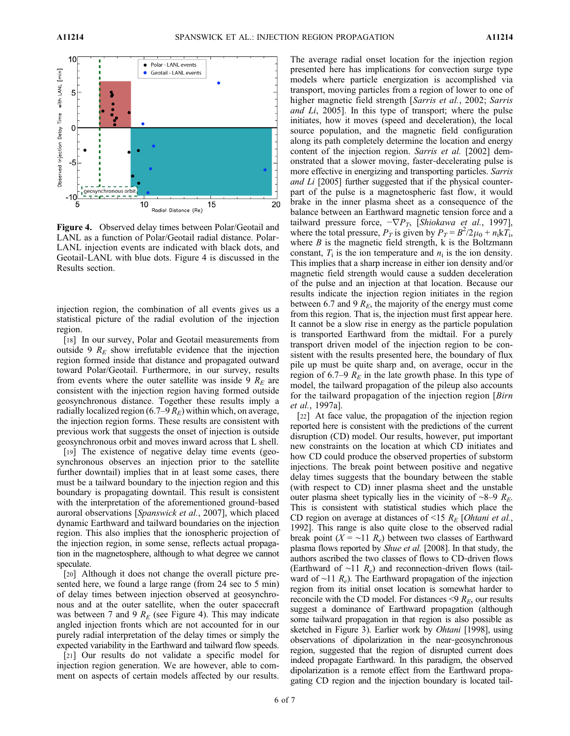

Figure 4. Observed delay times between Polar/Geotail and LANL as a function of Polar/Geotail radial distance. Polar‐ LANL injection events are indicated with black dots, and Geotail‐LANL with blue dots. Figure 4 is discussed in the Results section.

injection region, the combination of all events gives us a statistical picture of the radial evolution of the injection region.

[18] In our survey, Polar and Geotail measurements from outside 9  $R_E$  show irrefutable evidence that the injection region formed inside that distance and propagated outward toward Polar/Geotail. Furthermore, in our survey, results from events where the outer satellite was inside 9  $R_E$  are consistent with the injection region having formed outside geosynchronous distance. Together these results imply a radially localized region (6.7–9  $R_E$ ) within which, on average, the injection region forms. These results are consistent with previous work that suggests the onset of injection is outside geosynchronous orbit and moves inward across that L shell.

[19] The existence of negative delay time events (geosynchronous observes an injection prior to the satellite further downtail) implies that in at least some cases, there must be a tailward boundary to the injection region and this boundary is propagating downtail. This result is consistent with the interpretation of the aforementioned ground-based auroral observations [Spanswick et al., 2007], which placed dynamic Earthward and tailward boundaries on the injection region. This also implies that the ionospheric projection of the injection region, in some sense, reflects actual propagation in the magnetosphere, although to what degree we cannot speculate.

[20] Although it does not change the overall picture presented here, we found a large range (from 24 sec to 5 min) of delay times between injection observed at geosynchronous and at the outer satellite, when the outer spacecraft was between 7 and 9  $R_E$  (see Figure 4). This may indicate angled injection fronts which are not accounted for in our purely radial interpretation of the delay times or simply the expected variability in the Earthward and tailward flow speeds.

[21] Our results do not validate a specific model for injection region generation. We are however, able to comment on aspects of certain models affected by our results.

The average radial onset location for the injection region presented here has implications for convection surge type models where particle energization is accomplished via transport, moving particles from a region of lower to one of higher magnetic field strength [Sarris et al., 2002; Sarris and Li, 2005]. In this type of transport; where the pulse initiates, how it moves (speed and deceleration), the local source population, and the magnetic field configuration along its path completely determine the location and energy content of the injection region. Sarris et al. [2002] demonstrated that a slower moving, faster‐decelerating pulse is more effective in energizing and transporting particles. Sarris and Li [2005] further suggested that if the physical counterpart of the pulse is a magnetospheric fast flow, it would brake in the inner plasma sheet as a consequence of the balance between an Earthward magnetic tension force and a tailward pressure force,  $-\nabla P_T$ , [Shiokawa et al., 1997], where the total pressure,  $P_T$  is given by  $P_T = B^2/2\mu_0 + n_1kT_1$ , where  $B$  is the magnetic field strength,  $k$  is the Boltzmann constant,  $T_i$  is the ion temperature and  $n_i$  is the ion density. This implies that a sharp increase in either ion density and/or magnetic field strength would cause a sudden deceleration of the pulse and an injection at that location. Because our results indicate the injection region initiates in the region between 6.7 and 9  $R_E$ , the majority of the energy must come from this region. That is, the injection must first appear here. It cannot be a slow rise in energy as the particle population is transported Earthward from the midtail. For a purely transport driven model of the injection region to be consistent with the results presented here, the boundary of flux pile up must be quite sharp and, on average, occur in the region of 6.7–9  $R_E$  in the late growth phase. In this type of model, the tailward propagation of the pileup also accounts for the tailward propagation of the injection region [Birn] et al., 1997a].

[22] At face value, the propagation of the injection region reported here is consistent with the predictions of the current disruption (CD) model. Our results, however, put important new constraints on the location at which CD initiates and how CD could produce the observed properties of substorm injections. The break point between positive and negative delay times suggests that the boundary between the stable (with respect to CD) inner plasma sheet and the unstable outer plasma sheet typically lies in the vicinity of ∼8–9  $R_E$ . This is consistent with statistical studies which place the CD region on average at distances of <15  $R<sub>E</sub>$  [Ohtani et al., 1992]. This range is also quite close to the observed radial break point ( $X = \sim 11$  R<sub>e</sub>) between two classes of Earthward plasma flows reported by Shue et al. [2008]. In that study, the authors ascribed the two classes of flows to CD‐driven flows (Earthward of ∼11  $R_e$ ) and reconnection-driven flows (tailward of ∼11  $R_e$ ). The Earthward propagation of the injection region from its initial onset location is somewhat harder to reconcile with the CD model. For distances  $\leq$ 9  $R_E$ , our results suggest a dominance of Earthward propagation (although some tailward propagation in that region is also possible as sketched in Figure 3). Earlier work by *Ohtani* [1998], using observations of dipolarization in the near‐geosynchronous region, suggested that the region of disrupted current does indeed propagate Earthward. In this paradigm, the observed dipolarization is a remote effect from the Earthward propagating CD region and the injection boundary is located tail